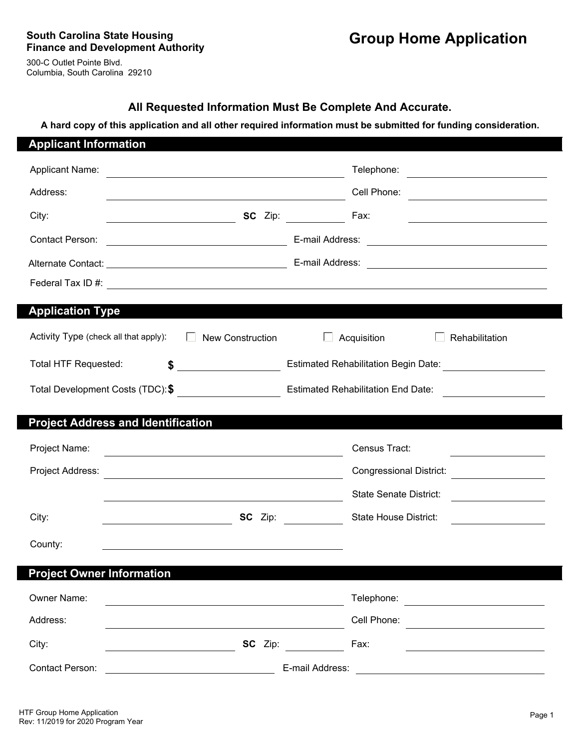300-C Outlet Pointe Blvd. Columbia, South Carolina 29210

## **All Requested Information Must Be Complete And Accurate.**

**A hard copy of this application and all other required information must be submitted for funding consideration.**

| <b>Applicant Information</b>              |                                                                                                                     |                                                                                                                                                                                                                                                    |
|-------------------------------------------|---------------------------------------------------------------------------------------------------------------------|----------------------------------------------------------------------------------------------------------------------------------------------------------------------------------------------------------------------------------------------------|
| <b>Applicant Name:</b>                    | <u> 1989 - Johann Stein, mars an deus Amerikaansk kommunister (</u>                                                 | Telephone:<br><u>and the state of the state of the state of the state of the state of the state of the state of the state of the state of the state of the state of the state of the state of the state of the state of the state of the state</u> |
| Address:                                  | <u> 1989 - Johann Barbara, martxa alemaniar populari (h. 1989).</u>                                                 | Cell Phone:<br><u> 1989 - Johann Barbara, martin amerikan basar dan basa dan basa dan basa dalam basa dalam basa dalam basa dala</u>                                                                                                               |
| City:                                     |                                                                                                                     | SC Zip:<br>Fax:<br><u> 1989 - Johann Barbara, martin amerikan basar dan basa dan basar dalam basa dalam basa dalam basa dalam basa d</u>                                                                                                           |
| Contact Person:                           | <u> 1989 - Johann Barbara, martxa amerikan personal (</u>                                                           |                                                                                                                                                                                                                                                    |
|                                           |                                                                                                                     |                                                                                                                                                                                                                                                    |
|                                           |                                                                                                                     |                                                                                                                                                                                                                                                    |
| <b>Application Type</b>                   |                                                                                                                     |                                                                                                                                                                                                                                                    |
| Activity Type (check all that apply):     | <b>New Construction</b><br>$\mathbf{L}$                                                                             | Acquisition<br>Rehabilitation                                                                                                                                                                                                                      |
| <b>Total HTF Requested:</b>               | $\frac{1}{2}$                                                                                                       |                                                                                                                                                                                                                                                    |
|                                           |                                                                                                                     |                                                                                                                                                                                                                                                    |
|                                           |                                                                                                                     |                                                                                                                                                                                                                                                    |
| <b>Project Address and Identification</b> |                                                                                                                     |                                                                                                                                                                                                                                                    |
| Project Name:                             |                                                                                                                     | Census Tract:                                                                                                                                                                                                                                      |
| Project Address:                          | <u> 1989 - Johann John Stone, markin fizik eta idazlearia (h. 1982).</u>                                            | <b>Congressional District:</b>                                                                                                                                                                                                                     |
|                                           | <u> 1980 - Johann Barbara, martxa alemaniar argumento este alemaniar alemaniar este alemaniar este alemaniar al</u> | <b>State Senate District:</b><br><u> 1980 - Jan Barbara Barat, prima popular popular popular popular popular popular popular popular popular popu</u>                                                                                              |
| City:                                     |                                                                                                                     | <b>SC</b> Zip:<br><b>State House District:</b><br><u> 1990 - Jan Barnett, fransk politik (</u>                                                                                                                                                     |
| County:                                   | and the control of the control of the control of the control of the control of the control of the control of the    |                                                                                                                                                                                                                                                    |
|                                           |                                                                                                                     |                                                                                                                                                                                                                                                    |
| <b>Project Owner Information</b>          |                                                                                                                     |                                                                                                                                                                                                                                                    |
| Owner Name:                               |                                                                                                                     | Telephone:                                                                                                                                                                                                                                         |
| Address:                                  |                                                                                                                     | Cell Phone:                                                                                                                                                                                                                                        |
| City:                                     | SC Zip:                                                                                                             | Fax:                                                                                                                                                                                                                                               |
| Contact Person:                           |                                                                                                                     | E-mail Address:                                                                                                                                                                                                                                    |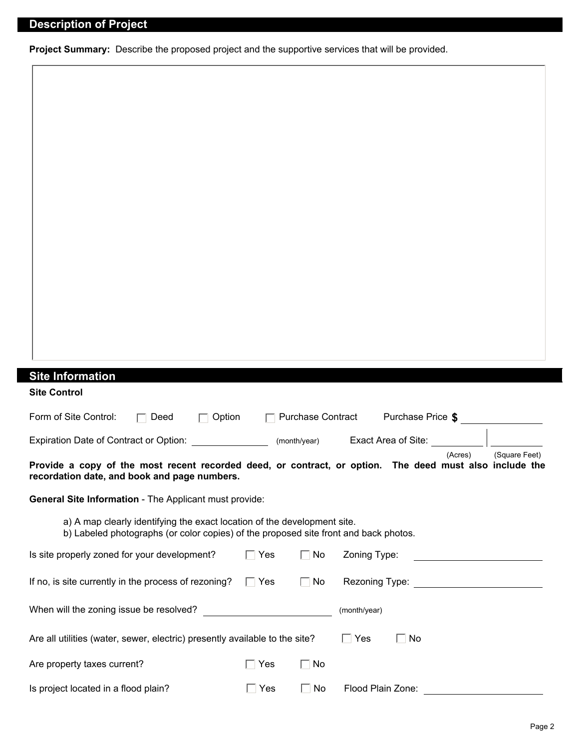**Project Summary:** Describe the proposed project and the supportive services that will be provided.

| <b>Site Information</b>                                                                                                                                          |                 |                          |                                |               |
|------------------------------------------------------------------------------------------------------------------------------------------------------------------|-----------------|--------------------------|--------------------------------|---------------|
| <b>Site Control</b>                                                                                                                                              |                 |                          |                                |               |
| Form of Site Control:<br>$\Box$ Deed<br>$\Box$ Option                                                                                                            |                 | $\Box$ Purchase Contract | Purchase Price \$              |               |
| Expiration Date of Contract or Option:                                                                                                                           |                 | (month/year)             | Exact Area of Site:<br>(Acres) | (Square Feet) |
| Provide a copy of the most recent recorded deed, or contract, or option. The deed must also include the<br>recordation date, and book and page numbers.          |                 |                          |                                |               |
| General Site Information - The Applicant must provide:                                                                                                           |                 |                          |                                |               |
| a) A map clearly identifying the exact location of the development site.<br>b) Labeled photographs (or color copies) of the proposed site front and back photos. |                 |                          |                                |               |
| Is site properly zoned for your development?                                                                                                                     | $\Box$ Yes      | $\Box$ No                | Zoning Type:                   |               |
| If no, is site currently in the process of rezoning?                                                                                                             | $\Box$ Yes      | $\Box$ No                |                                |               |
| When will the zoning issue be resolved?                                                                                                                          |                 |                          | (month/year)                   |               |
| Are all utilities (water, sewer, electric) presently available to the site?                                                                                      |                 |                          | $\Gamma$ Yes<br>$\Box$ No      |               |
| Are property taxes current?                                                                                                                                      | $\sqsupset$ Yes | $\Box$ No                |                                |               |
| Is project located in a flood plain?                                                                                                                             | $\Box$ Yes      | $\Box$ No                | Flood Plain Zone:              |               |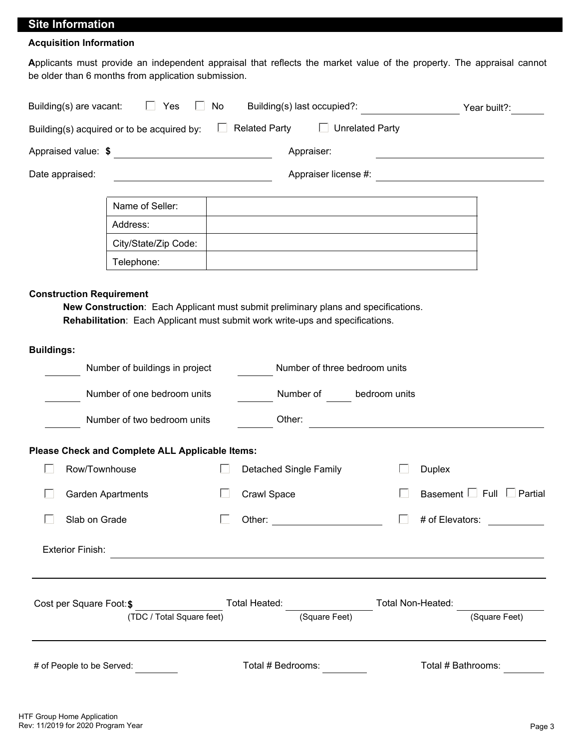## **Site Information**

#### **Acquisition Information**

**A**pplicants must provide an independent appraisal that reflects the market value of the property. The appraisal cannot be older than 6 months from application submission.

| Building(s) are vacant:                              | $\Box$<br>Yes<br>$\mathbf{L}$                                                                                                                                       | No           |             | Building(s) last occupied?:                    |  |                                                                            | Year built?:                                                                                                         |
|------------------------------------------------------|---------------------------------------------------------------------------------------------------------------------------------------------------------------------|--------------|-------------|------------------------------------------------|--|----------------------------------------------------------------------------|----------------------------------------------------------------------------------------------------------------------|
|                                                      | Building(s) acquired or to be acquired by:                                                                                                                          | $\Box$       |             | <b>Related Party</b><br>$\Box$ Unrelated Party |  |                                                                            |                                                                                                                      |
| Appraised value: \$                                  | <u> 1989 - Johann Barbara, martxa amerikan per</u>                                                                                                                  |              |             | Appraiser:                                     |  | the control of the control of the control of the control of the control of |                                                                                                                      |
| Date appraised:                                      | <u> 1980 - Johann Barn, mars ann an t-Amhain Aonaich an t-Aonaich an t-Aonaich ann an t-Aonaich ann an t-Aonaich</u>                                                |              |             | Appraiser license #:                           |  |                                                                            | <u> 1980 - Jan Stein Stein Stein Stein Stein Stein Stein Stein Stein Stein Stein Stein Stein Stein Stein Stein S</u> |
|                                                      | Name of Seller:                                                                                                                                                     |              |             |                                                |  |                                                                            |                                                                                                                      |
|                                                      | Address:                                                                                                                                                            |              |             |                                                |  |                                                                            |                                                                                                                      |
|                                                      | City/State/Zip Code:                                                                                                                                                |              |             |                                                |  |                                                                            |                                                                                                                      |
|                                                      | Telephone:                                                                                                                                                          |              |             |                                                |  |                                                                            |                                                                                                                      |
| <b>Construction Requirement</b><br><b>Buildings:</b> | New Construction: Each Applicant must submit preliminary plans and specifications.<br>Rehabilitation: Each Applicant must submit work write-ups and specifications. |              |             |                                                |  |                                                                            |                                                                                                                      |
|                                                      | Number of buildings in project                                                                                                                                      |              |             | Number of three bedroom units                  |  |                                                                            |                                                                                                                      |
| Number of one bedroom units                          |                                                                                                                                                                     |              | Number of   | bedroom units                                  |  |                                                                            |                                                                                                                      |
|                                                      | Number of two bedroom units                                                                                                                                         |              |             | Other:                                         |  | <u> 1989 - Johann Barbara, martxa alemaniar a</u>                          |                                                                                                                      |
|                                                      | Please Check and Complete ALL Applicable Items:                                                                                                                     |              |             |                                                |  |                                                                            |                                                                                                                      |
| Row/Townhouse                                        |                                                                                                                                                                     | $\mathbf{L}$ |             | <b>Detached Single Family</b>                  |  | <b>Duplex</b>                                                              |                                                                                                                      |
|                                                      | Garden Apartments                                                                                                                                                   | $\mathbf{L}$ | Crawl Space |                                                |  |                                                                            | Basement $\Box$ Full $\Box$ Partial                                                                                  |
| Slab on Grade                                        |                                                                                                                                                                     | $\Box$       |             |                                                |  |                                                                            |                                                                                                                      |
| <b>Exterior Finish:</b>                              | <u> 1989 - Johann Stoff, deutscher Stoffen und der Stoffen und der Stoffen und der Stoffen und der Stoffen und d</u>                                                |              |             |                                                |  |                                                                            |                                                                                                                      |
| Cost per Square Foot: \$                             | (TDC / Total Square feet)                                                                                                                                           |              |             | (Square Feet)                                  |  |                                                                            | (Square Feet)                                                                                                        |
|                                                      |                                                                                                                                                                     |              |             |                                                |  |                                                                            |                                                                                                                      |
|                                                      | # of People to be Served:                                                                                                                                           |              |             | Total # Bedrooms:                              |  | Total # Bathrooms:                                                         |                                                                                                                      |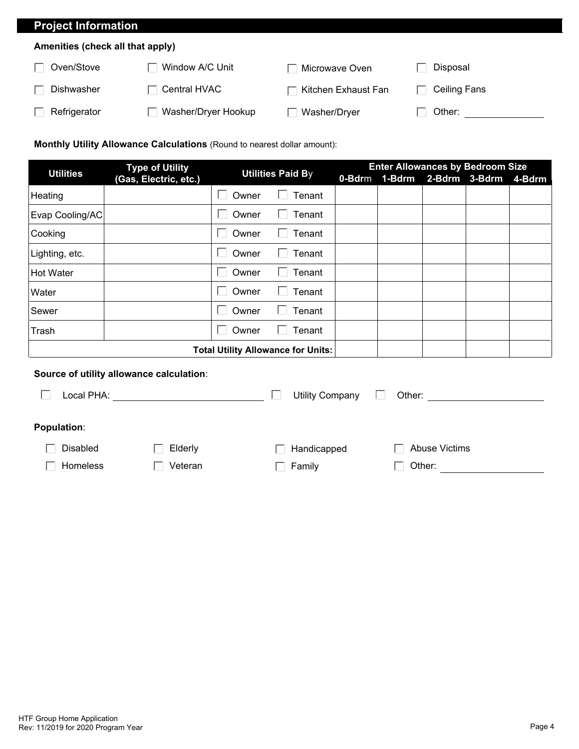# **Project Information**

#### **Amenities (check all that apply)**

| Oven/Stove   | Window A/C Unit     | Microwave Oven      | Disposal     |
|--------------|---------------------|---------------------|--------------|
| Dishwasher   | Central HVAC        | Kitchen Exhaust Fan | Ceiling Fans |
| Refrigerator | Washer/Dryer Hookup | Washer/Dryer        | Other:       |

### **Monthly Utility Allowance Calculations** (Round to nearest dollar amount):

| <b>Type of Utility</b><br><b>Utilities</b> |                                  |       | <b>Utilities Paid By</b> |             | <b>Enter Allowances by Bedroom Size</b> |                      |  |        |  |  |
|--------------------------------------------|----------------------------------|-------|--------------------------|-------------|-----------------------------------------|----------------------|--|--------|--|--|
|                                            | (Gas, Electric, etc.)            |       |                          | $0 - B$ drm |                                         | 1-Bdrm 2-Bdrm 3-Bdrm |  | 4-Bdrm |  |  |
| Heating                                    | $\blacktriangleright$            | Owner | Tenant                   |             |                                         |                      |  |        |  |  |
| Evap Cooling/AC                            | $\vert \blacktriangledown$       | Owner | Tenant                   |             |                                         |                      |  |        |  |  |
| Cooking                                    | $\vert \blacktriangledown$       | Owner | Tenant                   |             |                                         |                      |  |        |  |  |
| Lighting, etc.                             | $\vert \blacktriangledown \vert$ | Owner | Tenant                   |             |                                         |                      |  |        |  |  |
| Hot Water                                  | $\vert \blacktriangledown$       | Owner | Tenant                   |             |                                         |                      |  |        |  |  |
| Water                                      | $\vert \blacktriangledown$       | Owner | Tenant                   |             |                                         |                      |  |        |  |  |
| Sewer                                      | $\Box$                           | Owner | Tenant                   |             |                                         |                      |  |        |  |  |
| Trash                                      | $\blacktriangleright$            | Owner | Tenant                   |             |                                         |                      |  |        |  |  |
| <b>Total Utility Allowance for Units:</b>  |                                  |       |                          |             |                                         |                      |  |        |  |  |

#### **Source of utility allowance calculation**:

| Local PHA:         |         | Utility Company | Other:               |  |
|--------------------|---------|-----------------|----------------------|--|
| <b>Population:</b> |         |                 |                      |  |
| Disabled           | Elderly | Handicapped     | <b>Abuse Victims</b> |  |
| Homeless           | Veteran | Family          | Other:               |  |
|                    |         |                 |                      |  |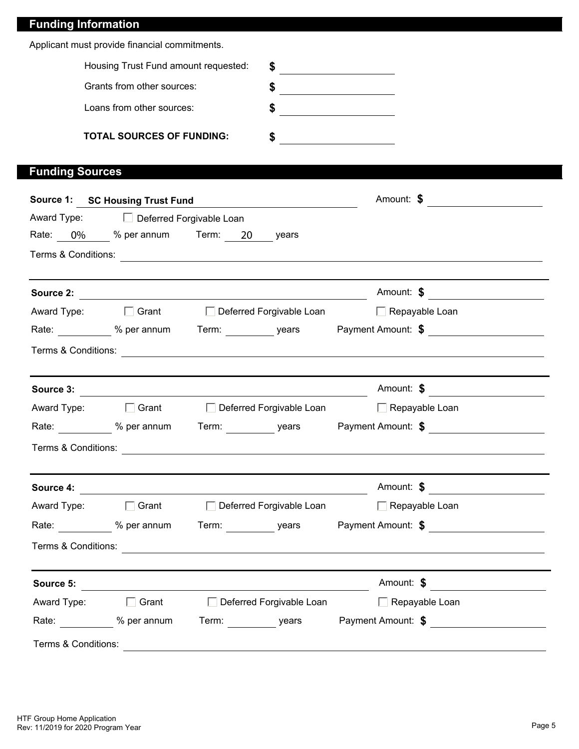| <b>Funding Information</b> |                                                                 |  |    |                                                  |                                                                                                      |  |
|----------------------------|-----------------------------------------------------------------|--|----|--------------------------------------------------|------------------------------------------------------------------------------------------------------|--|
|                            | Applicant must provide financial commitments.                   |  |    |                                                  |                                                                                                      |  |
|                            | Housing Trust Fund amount requested:                            |  |    | $\frac{1}{\sqrt{1-\frac{1}{2}}\cdot\frac{1}{2}}$ |                                                                                                      |  |
| Grants from other sources: |                                                                 |  |    |                                                  |                                                                                                      |  |
|                            | Loans from other sources:                                       |  | \$ |                                                  |                                                                                                      |  |
|                            | <b>TOTAL SOURCES OF FUNDING:</b>                                |  | \$ |                                                  |                                                                                                      |  |
| <b>Funding Sources</b>     |                                                                 |  |    |                                                  |                                                                                                      |  |
|                            | Source 1: SC Housing Trust Fund                                 |  |    |                                                  | Amount: \$                                                                                           |  |
|                            | Award Type: <b>Deferred Forgivable Loan</b>                     |  |    |                                                  |                                                                                                      |  |
|                            | Rate: 0% % per annum Term: 20 years                             |  |    |                                                  |                                                                                                      |  |
|                            |                                                                 |  |    |                                                  |                                                                                                      |  |
|                            |                                                                 |  |    |                                                  | Amount: \$                                                                                           |  |
|                            | Award Type: □ Grant □ Deferred Forgivable Loan □ Repayable Loan |  |    |                                                  |                                                                                                      |  |
|                            |                                                                 |  |    |                                                  | Rate: ____________ % per annum Term: __________ years Payment Amount: \$                             |  |
|                            |                                                                 |  |    |                                                  |                                                                                                      |  |
|                            |                                                                 |  |    |                                                  | Amount: \$                                                                                           |  |
|                            | Award Type: □ Grant □ Deferred Forgivable Loan □ Repayable Loan |  |    |                                                  |                                                                                                      |  |
|                            |                                                                 |  |    |                                                  | Rate: ____________ % per annum Term: ___________ years Payment Amount: \$ __________________________ |  |
| Terms & Conditions:        |                                                                 |  |    |                                                  |                                                                                                      |  |
|                            | Source 4:                                                       |  |    |                                                  | Amount: \$                                                                                           |  |
|                            | Award Type: □ Grant □ Deferred Forgivable Loan □ Repayable Loan |  |    |                                                  |                                                                                                      |  |
|                            |                                                                 |  |    |                                                  | Rate: ___________ % per annum Term: __________ years Payment Amount: \$ ____________________________ |  |
|                            |                                                                 |  |    |                                                  |                                                                                                      |  |
|                            |                                                                 |  |    |                                                  | Amount: \$                                                                                           |  |
|                            | Award Type: □ Grant □ Deferred Forgivable Loan □ Repayable Loan |  |    |                                                  |                                                                                                      |  |
|                            |                                                                 |  |    |                                                  | Rate: ___________ % per annum Term: __________ years Payment Amount: \$ ____________________________ |  |
| Terms & Conditions:        |                                                                 |  |    |                                                  |                                                                                                      |  |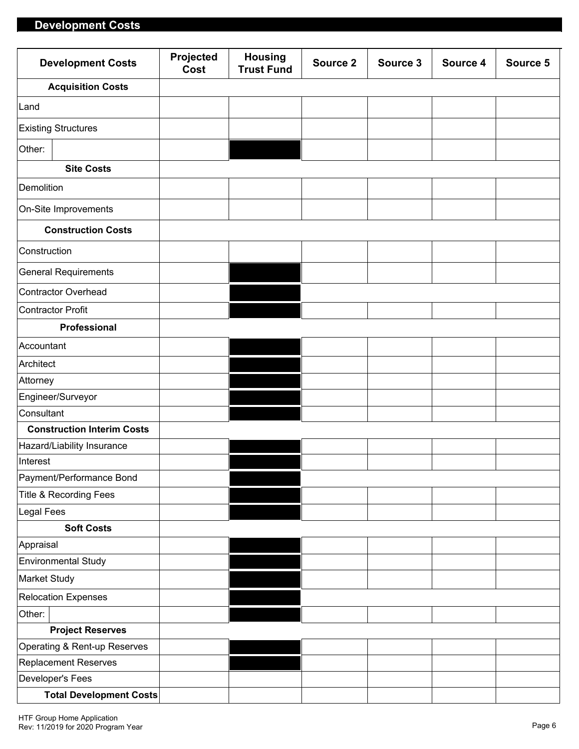## **Development Costs**

| <b>Development Costs</b>          | Projected<br>Cost | <b>Housing</b><br><b>Trust Fund</b> | Source 2 | Source 3 | Source 4 | Source 5 |
|-----------------------------------|-------------------|-------------------------------------|----------|----------|----------|----------|
| <b>Acquisition Costs</b>          |                   |                                     |          |          |          |          |
| Land                              |                   |                                     |          |          |          |          |
| <b>Existing Structures</b>        |                   |                                     |          |          |          |          |
| Other:                            |                   |                                     |          |          |          |          |
| <b>Site Costs</b>                 |                   |                                     |          |          |          |          |
| Demolition                        |                   |                                     |          |          |          |          |
| On-Site Improvements              |                   |                                     |          |          |          |          |
| <b>Construction Costs</b>         |                   |                                     |          |          |          |          |
| Construction                      |                   |                                     |          |          |          |          |
| <b>General Requirements</b>       |                   |                                     |          |          |          |          |
| <b>Contractor Overhead</b>        |                   |                                     |          |          |          |          |
| Contractor Profit                 |                   |                                     |          |          |          |          |
| Professional                      |                   |                                     |          |          |          |          |
| Accountant                        |                   |                                     |          |          |          |          |
| Architect                         |                   |                                     |          |          |          |          |
| Attorney                          |                   |                                     |          |          |          |          |
| Engineer/Surveyor                 |                   |                                     |          |          |          |          |
| Consultant                        |                   |                                     |          |          |          |          |
| <b>Construction Interim Costs</b> |                   |                                     |          |          |          |          |
| Hazard/Liability Insurance        |                   |                                     |          |          |          |          |
| Interest                          |                   |                                     |          |          |          |          |
| Payment/Performance Bond          |                   |                                     |          |          |          |          |
| Title & Recording Fees            |                   |                                     |          |          |          |          |
| <b>Legal Fees</b>                 |                   |                                     |          |          |          |          |
| <b>Soft Costs</b>                 |                   |                                     |          |          |          |          |
| Appraisal                         |                   |                                     |          |          |          |          |
| <b>Environmental Study</b>        |                   |                                     |          |          |          |          |
| Market Study                      |                   |                                     |          |          |          |          |
| <b>Relocation Expenses</b>        |                   |                                     |          |          |          |          |
| Other:                            |                   |                                     |          |          |          |          |
| <b>Project Reserves</b>           |                   |                                     |          |          |          |          |
| Operating & Rent-up Reserves      |                   |                                     |          |          |          |          |
| Replacement Reserves              |                   |                                     |          |          |          |          |
| Developer's Fees                  |                   |                                     |          |          |          |          |
| <b>Total Development Costs</b>    |                   |                                     |          |          |          |          |